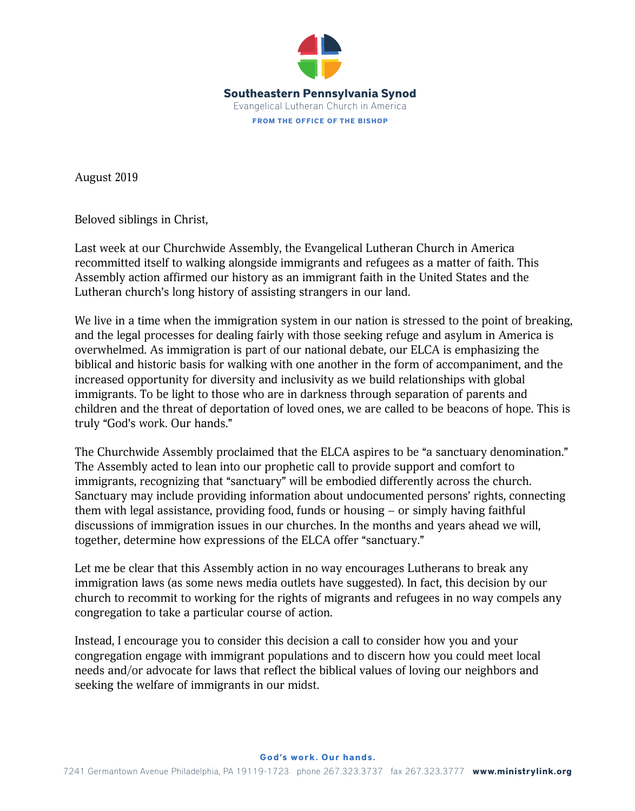

August 2019

Beloved siblings in Christ,

Last week at our Churchwide Assembly, the Evangelical Lutheran Church in America recommitted itself to walking alongside immigrants and refugees as a matter of faith. This Assembly action affirmed our history as an immigrant faith in the United States and the Lutheran church's long history of assisting strangers in our land.

We live in a time when the immigration system in our nation is stressed to the point of breaking, and the legal processes for dealing fairly with those seeking refuge and asylum in America is overwhelmed. As immigration is part of our national debate, our ELCA is emphasizing the biblical and historic basis for walking with one another in the form of accompaniment, and the increased opportunity for diversity and inclusivity as we build relationships with global immigrants. To be light to those who are in darkness through separation of parents and children and the threat of deportation of loved ones, we are called to be beacons of hope. This is truly "God's work. Our hands."

The Churchwide Assembly proclaimed that the ELCA aspires to be "a sanctuary denomination." The Assembly acted to lean into our prophetic call to provide support and comfort to immigrants, recognizing that "sanctuary" will be embodied differently across the church. Sanctuary may include providing information about undocumented persons' rights, connecting them with legal assistance, providing food, funds or housing – or simply having faithful discussions of immigration issues in our churches. In the months and years ahead we will, together, determine how expressions of the ELCA offer "sanctuary."

Let me be clear that this Assembly action in no way encourages Lutherans to break any immigration laws (as some news media outlets have suggested). In fact, this decision by our church to recommit to working for the rights of migrants and refugees in no way compels any congregation to take a particular course of action.

Instead, I encourage you to consider this decision a call to consider how you and your congregation engage with immigrant populations and to discern how you could meet local needs and/or advocate for laws that reflect the biblical values of loving our neighbors and seeking the welfare of immigrants in our midst.